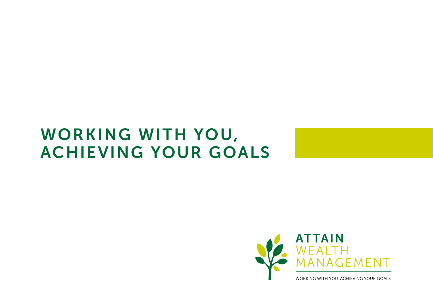#### WORKING WITH YOU, ACHIEVING YOUR GOALS



WORKING WITH YOU, ACHIEVING YOUR GOALS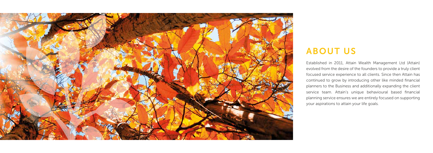

## ABOUT US

Established in 2011, Attain Wealth Management Ltd (Attain) evolved from the desire of the founders to provide a truly client focused service experience to all clients. Since then Attain has continued to grow by introducing other like minded financial planners to the Business and additionally expanding the client service team. Attain's unique behavioural based financial planning service ensures we are entirely focused on supporting your aspirations to attain your life goals.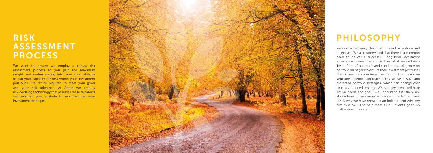#### RISK ASSESSMENT PROCESS

We want to ensure we employ a robust risk assessment process so you gain the maximum insight and understanding into your own attitude to risk your capacity for loss within your investment portfolios, the return required to meet your goals and your risk tolerance. At Attain we employ risk-profiling technology that assesses these dynamics and ensures your attitude to risk matches your investment strategies.



## PHILOSOPHY

We realise that every client has different aspirations and objectives. We also understand that there is a common need to deliver a successful long-term investment experience to meet these objectives. At Attain we take a 'best of breed' approach and conduct due diligence on portfolio managers to ensure their investment processes fit your needs and our investment ethos. This means we structure a blended approach across active, passive and protected portfolio strategies, which can change over time as your needs change. Whilst many clients will have similar needs and goals, we understand that there are always times when a more bespoke approach is required, this is why we have remained an Independent Advisory firm to allow us to help meet all our client's goals no matter what they are.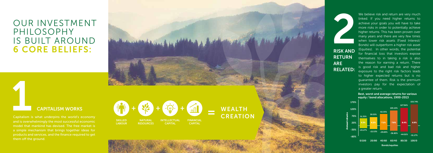#### OUR INVESTMENT PHILOSOPHY IS BUILT AROUND 6 CORE BELIEFS:

**WEALTH** CREATION

**SKILLED LABOUR** NATURAL **RESOURCES** INTELLECTUAL CAPITAL FINANCIAL CAPITAL

We believe risk and return are very much linked. If you need higher returns to achieve your goals you will have to take more risks in order to potentially achieve higher returns. This has been proven over many years and there are very few times when lower risk assets (Fixed Interest/ Bonds) will outperform a higher risk asset (Equities). In other words, the potential for financial loss that investors expose themselves to in taking a risk is also the reason for earning a return. There is good risk and bad risk and higher exposure to the right risk factors leads to higher expected returns but is no guarantee of them. Risk is the premium investors pay for the expectation of a greater return.

**1999**<br>Capitalism is Capitalism is what underpins the world's economy and is overwhelmingly the most successful economic model that mankind has devised. The free market is a simple mechanism that brings together ideas for products and services, and the finance required to get them off the ground.







RISK AND **RETURN** ARE RELATED:

#### CAPITALISM WORKS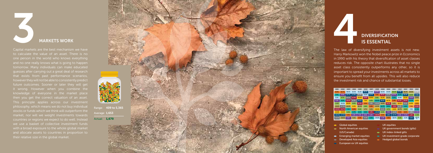The law of diversifying investment assets is not new. Harry Markowitz won the Nobel peace prize in Economics in 1990 with his theory that diversification of asset classes reduces risk. The opposite chart illustrates that no single asset class consistently outperforms any other, so it is important to spread your investments across all markets to ensure you benefit from all upsides. This will also reduce the investment risk and chance of substantial losses.



# The law of dive DIVERSIFICATION IS ESSENTIAL



Capital markets are the best mechanism we have to calculate the value of an asset. There is no and no one really knows what is going to happen that exists from past performance scenarios, however they will not be able to consistently predict future outcomes. Sooner or later they will get it wrong. However when you combine the then you get the correct valuation of an asset. This principle applies across our investment stocks or funds which we think will outperform the market, nor will we weight investments towards countries or regions we expect to do well. Instead we use a basket of collective investment funds and allocate assets to countries in proportion to their relative size in the global market.

| 2001     | 2002     | 2003  | 2004  | 2005  | 2006    | 2007  | 2008     | 2009    | 2010  | 2011     | 2012  | 2013    | 2014  | 2015                      |
|----------|----------|-------|-------|-------|---------|-------|----------|---------|-------|----------|-------|---------|-------|---------------------------|
| 8.3%     | 10.7%    | 38.5% | 19.3% | 51.1% | 20.1%   | 37.4% | 13.0%    | 62.5%   | 23.6% | 20.3%    | 17.8% | 28.3%   | 19.6% | 8.78%                     |
| 7.5%     | 9.4%     | 29.7% | 13.8% | 36.8% | 16.8%   | 15.7% | 7.6%     | 30.1%   | 21.3% | 16.7%    | 15.5% | 25.2%   | 18.8% | 5.48%                     |
| 5.2%     | 8.7%     | 25.3% | 12.8% | 24.9% | 16.8%   | 10.8% | 3.6%     | 21.2%   | 19.1% | 6.5%     | 12.8% | 21.0%   | 14.6% | 5.35%                     |
| 3.2%     | 8.0%     | 20.9% | 11.5% | 24.1% | 7.2%    | 8.3%  | $-10.0%$ | 20.1%   | 16.7% | 5.8%     | 12.3% | 20.8%   | 12.5% | 1.93%                     |
| $-1.1%$  | $-15.1%$ | 20.9% | 8.5%  | 22.0% | 3.3%    | 6.6%  | $-13.2%$ | 14.8%   | 14.5% | 1.2%     | 12.0% | 13.6%   | 11.3% | 1.39%                     |
| $-10.8%$ | $-17.3%$ | 16.4% | 8.3%  | 20.2% | 2.8%    | 5.8%  | $-13.3%$ | 14.7%   | 8.9%  | $-3.5%$  | 11.2% | 1.6%    | 7.9%  | 0.98%                     |
| $-13.3%$ | $-22.7%$ | 7.1%  | 8.0%  | 9.1%  | 1.7%    | 5.6%  | $-19.4%$ | 13.6%   | 8.7%  | $-6.6%$  | 10.7% | 0.6%    | 7.9%  | 0.70%                     |
| $-13.8%$ | $-26.6%$ | 6.9%  | 6.7%  | 8.5%  | 0.8%    | 5.3%  | $-24.0%$ | 6.3%    | 7.5%  | $-12.6%$ | 5.9%  | 0.0%    | 2.8%  | 0.49%                     |
| $-20.0%$ | $-27.0%$ | 5.5%  | 6.6%  | 7.9%  | 0.5%    | 5.2%  | $-29.9%$ | 5.3%    | 5.8%  | $-14.7%$ | 2.9%  | $-4.2%$ | 1.2%  | $-1.10%$                  |
| $-22.9%$ | $-29.5%$ | 2.1%  | 4.1%  | 5.8%  | $-0.2%$ | 0.4%  | $-34.8%$ | $-1.2%$ | 4.8%  | $-18.4%$ | 0.6%  | $-5.3%$ | 0.2%  | $-10.31$<br>$\frac{9}{6}$ |

- **Global equities**
- North American equities (US/Canada)
- **Emerging market equities**
- **Developed Asia equities**
- **European ex UK equities**
- UK equities
- UK government bonds (gilts)
- UK index-linked gilts
- UK investment grade corporate
- Hedged global bonds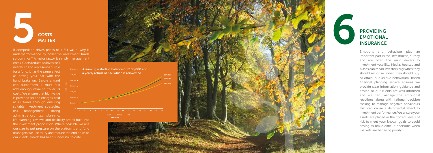Emotions and behaviour play an important part in the investment journey and are often the main drivers to investment volatility. Media, hearsay and biases can mean investors buy when they should sell or sell when they should buy. At Attain, our unique behavioural-based financial planning service ensures we provide clear information, guidance and advice so our clients are well informed and we can manage the emotional reactions along with rational decision making to manage negative behaviours that can cause a detrimental effect to investment performance. We ensure your assets are placed in the correct levels of risk to meet your known goals to avoid having to make difficult decisions when markets are behaving poorly.

If competition drives prices to a fair value, why is underperformance by collective investment funds so common? A major factor is simply management costs. Costs reduce an investor's

### PROVIDING **EMOTIONAL**

 $£400.00$ £300,000 £200,00 £100,000

net return and represent a hurdle for a fund, it has the same effect as driving your car with the hand brake on. Before a fund can outperform, it must first add enough value to cover its costs. We ensure that high value is provided for the charges paid at all times through ensuring suitable investment strategies, risk management, strong administration, tax planning,

life planning, reviews and flexibility are all built into the investment proposition. Where possible we use our size to put pressure on the platforms and fund managers we use to try and reduce the end costs to our clients, which has been successful to date.

Porfolio value